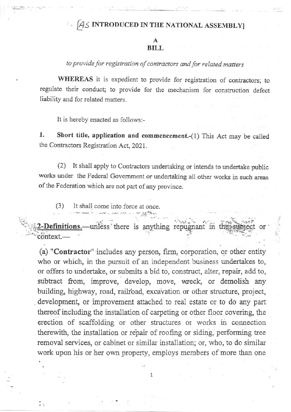## $A\text{S}$  INTRODUCED IN THE NATIONAL ASSEMBLY]

## A BILL

to provide for registration of contractors and for related matters

WHEREAS it is expedient to provide for registration of contractors; to regulate their conduct; to provide for the mechanism for construction defect liability and for related matters.

It is hereby enacted as follows:-

1. Short title, application and commencement.-(1) This Act may be called the Contractors Registration Act, 2021.

(2) It shall apply to Contractors undertaking or intends to undertake public works under the Federal Government or undertaking all other works in such areas of the Federation which are not part of any province.

(3) It shall come into force at once

2-Definitions.—unless there is anything repugnant in context. or'

(a) "Contractor" includes any person, firm, corporation, or other entity who or which, in the pursuit of an independent business undertakes to, or offers to undertake, or submits a bid to, construct, alter, repair, add to, subtract from, improve, develop, move, wreck, or demolish any building, highway, road, railroad, excavation or other structure, project, development, or improvement attached to real estate or to do any part thereof including the installation of carpeting or other floor covering, the erection of scaffolding or other structures or works in connection therewith, the installation or repair of roofing or siding, performing tree removal services, or cabinet or similar installation; or, who, to do similar work upon his or her own property, employs members of more than one

1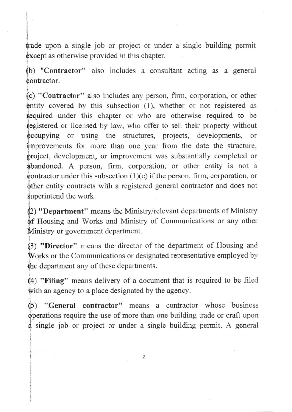fade upon a single job or project or under a single building permit except as otherwise provided in this chapter.

i<br>C ] **医正定** 

) "Contractor" also includes a consultant acting as a general contractor.

i (c) "Contractor" also includes any person, firm, corporation, or other entity covered by this subsection  $(1)$ , whether or not registered as required under this chapter or who are otherwise required to be registered or licensed by law, who offer to sell their property without **p**ecupying or using the structures, projects, developments, or improvements for more than one year from the date the structure, project, development, or improvement was substantially completed or abandoned. A person, firm, corporation, or other entity is not a  $\phi$  contractor under this subsection (1)(c) if the person, firm, corporation, or other entity contracts with a registered general contractor and does not superintend the work.

(2) "Department" means the Ministry/relevant departments of Ministry of Housing and Works and Ministry of Communications or any other Ministry or government department.

 $(3)$  "Director" means the director of the department of Housing and Works or the Communications or designated representative employed by the department any of these departments.

 $(4)$  "Filing" means delivery of a document that is required to be filed with an agency to a place designated by the agency.

) ".General contractor" means a contractor whose business operations require the use of more than one building trade or craft upon single job or project or under a single building permit. A general

2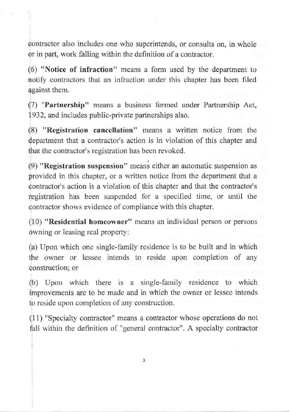oontractor also includes one who superintends, or consults on, in whole or in part, work falling within the definition of a contractor.

(6) "Notice of infraction" means a form used by the department to notify contractors that an infraction under this chapter has been filed against them.

(7) "Partnership" means a business formed under Partnership Act, 1932, and includes public-private partnerships also.

(8) "Registration cancellation" means a written notice from the department that a contractor's action is in violation of this chapter and that the contractor's registration has been revoked.

(9) "Registration suspension" meani either an automatic suspension as provided in this chapter, or a written notice from the department that a contractor's action is a violation of this chapter and that the contractor's registration has been suspended for a specified time, or until the contractor shows evidence of compliance with this chapter.

(10) "Residential homeowner" means an individual person or persons owning or leasing real property:

(a) IJpon which one single-family residence is to be built and in which the owner or lessee intends to reside upon completion of any construction; or

(b) Upon which there is a single-family residence to which improvements are to be made and in which the owner or lessee intends to reside upon completion of any construction.

(1 1) "Specialty contractor" means a contractor whose operations do not fall within the definition of "general contractor". A specialty contractor